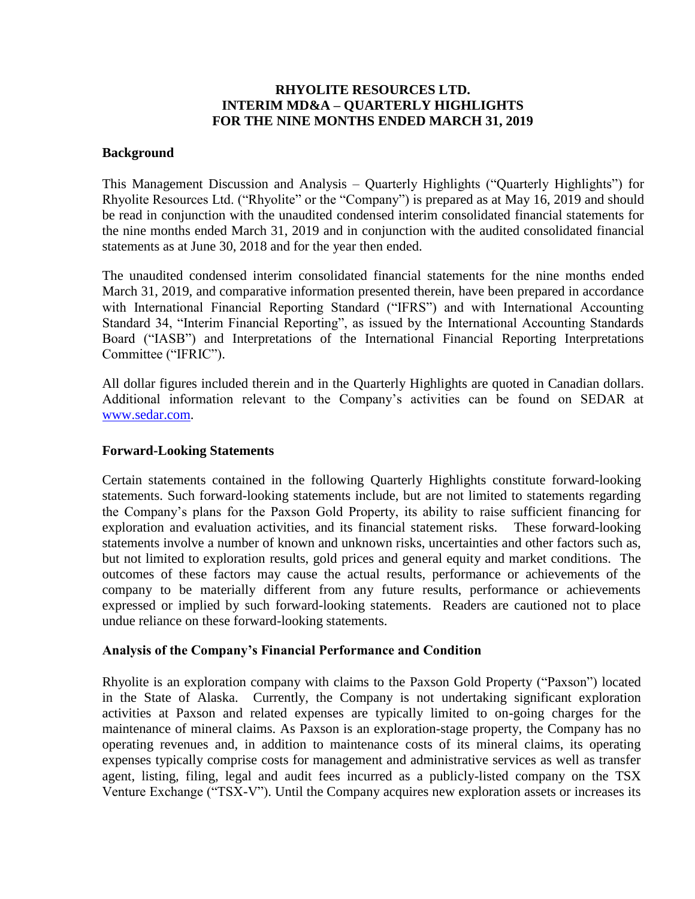# **RHYOLITE RESOURCES LTD. INTERIM MD&A – QUARTERLY HIGHLIGHTS FOR THE NINE MONTHS ENDED MARCH 31, 2019**

## **Background**

This Management Discussion and Analysis – Quarterly Highlights ("Quarterly Highlights") for Rhyolite Resources Ltd. ("Rhyolite" or the "Company") is prepared as at May 16, 2019 and should be read in conjunction with the unaudited condensed interim consolidated financial statements for the nine months ended March 31, 2019 and in conjunction with the audited consolidated financial statements as at June 30, 2018 and for the year then ended.

The unaudited condensed interim consolidated financial statements for the nine months ended March 31, 2019, and comparative information presented therein, have been prepared in accordance with International Financial Reporting Standard ("IFRS") and with International Accounting Standard 34, "Interim Financial Reporting", as issued by the International Accounting Standards Board ("IASB") and Interpretations of the International Financial Reporting Interpretations Committee ("IFRIC").

All dollar figures included therein and in the Quarterly Highlights are quoted in Canadian dollars. Additional information relevant to the Company's activities can be found on SEDAR at [www.sedar.com.](http://www.sedar.com/)

### **Forward-Looking Statements**

Certain statements contained in the following Quarterly Highlights constitute forward-looking statements. Such forward-looking statements include, but are not limited to statements regarding the Company's plans for the Paxson Gold Property, its ability to raise sufficient financing for exploration and evaluation activities, and its financial statement risks. These forward-looking statements involve a number of known and unknown risks, uncertainties and other factors such as, but not limited to exploration results, gold prices and general equity and market conditions. The outcomes of these factors may cause the actual results, performance or achievements of the company to be materially different from any future results, performance or achievements expressed or implied by such forward-looking statements. Readers are cautioned not to place undue reliance on these forward-looking statements.

## **Analysis of the Company's Financial Performance and Condition**

Rhyolite is an exploration company with claims to the Paxson Gold Property ("Paxson") located in the State of Alaska. Currently, the Company is not undertaking significant exploration activities at Paxson and related expenses are typically limited to on-going charges for the maintenance of mineral claims. As Paxson is an exploration-stage property, the Company has no operating revenues and, in addition to maintenance costs of its mineral claims, its operating expenses typically comprise costs for management and administrative services as well as transfer agent, listing, filing, legal and audit fees incurred as a publicly-listed company on the TSX Venture Exchange ("TSX-V"). Until the Company acquires new exploration assets or increases its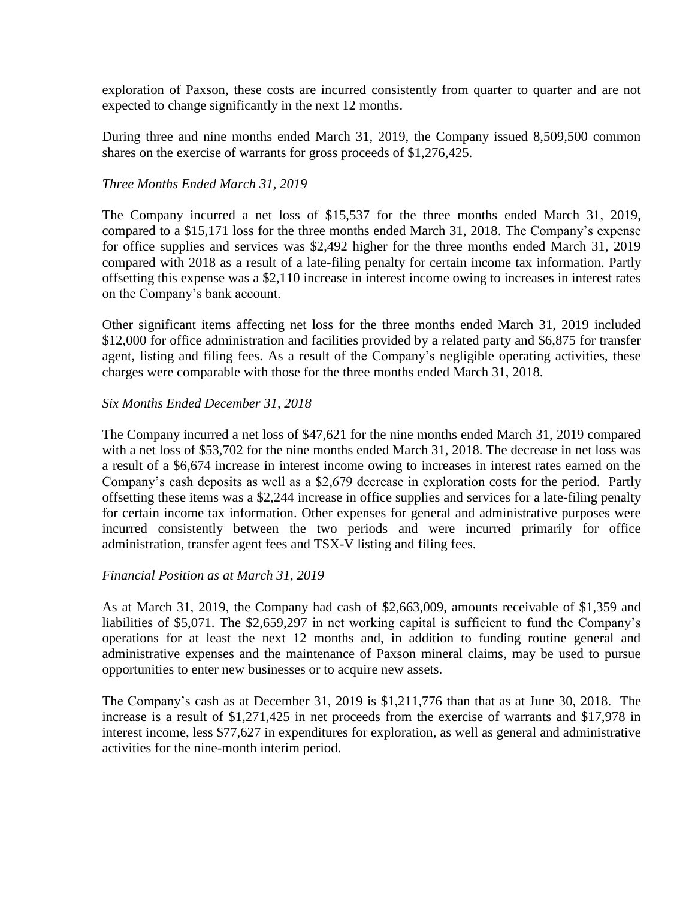exploration of Paxson, these costs are incurred consistently from quarter to quarter and are not expected to change significantly in the next 12 months.

During three and nine months ended March 31, 2019, the Company issued 8,509,500 common shares on the exercise of warrants for gross proceeds of \$1,276,425.

## *Three Months Ended March 31, 2019*

The Company incurred a net loss of \$15,537 for the three months ended March 31, 2019, compared to a \$15,171 loss for the three months ended March 31, 2018. The Company's expense for office supplies and services was \$2,492 higher for the three months ended March 31, 2019 compared with 2018 as a result of a late-filing penalty for certain income tax information. Partly offsetting this expense was a \$2,110 increase in interest income owing to increases in interest rates on the Company's bank account.

Other significant items affecting net loss for the three months ended March 31, 2019 included \$12,000 for office administration and facilities provided by a related party and \$6,875 for transfer agent, listing and filing fees. As a result of the Company's negligible operating activities, these charges were comparable with those for the three months ended March 31, 2018.

## *Six Months Ended December 31, 2018*

The Company incurred a net loss of \$47,621 for the nine months ended March 31, 2019 compared with a net loss of \$53,702 for the nine months ended March 31, 2018. The decrease in net loss was a result of a \$6,674 increase in interest income owing to increases in interest rates earned on the Company's cash deposits as well as a \$2,679 decrease in exploration costs for the period. Partly offsetting these items was a \$2,244 increase in office supplies and services for a late-filing penalty for certain income tax information. Other expenses for general and administrative purposes were incurred consistently between the two periods and were incurred primarily for office administration, transfer agent fees and TSX-V listing and filing fees.

## *Financial Position as at March 31, 2019*

As at March 31, 2019, the Company had cash of \$2,663,009, amounts receivable of \$1,359 and liabilities of \$5,071. The \$2,659,297 in net working capital is sufficient to fund the Company's operations for at least the next 12 months and, in addition to funding routine general and administrative expenses and the maintenance of Paxson mineral claims, may be used to pursue opportunities to enter new businesses or to acquire new assets.

The Company's cash as at December 31, 2019 is \$1,211,776 than that as at June 30, 2018. The increase is a result of \$1,271,425 in net proceeds from the exercise of warrants and \$17,978 in interest income, less \$77,627 in expenditures for exploration, as well as general and administrative activities for the nine-month interim period.